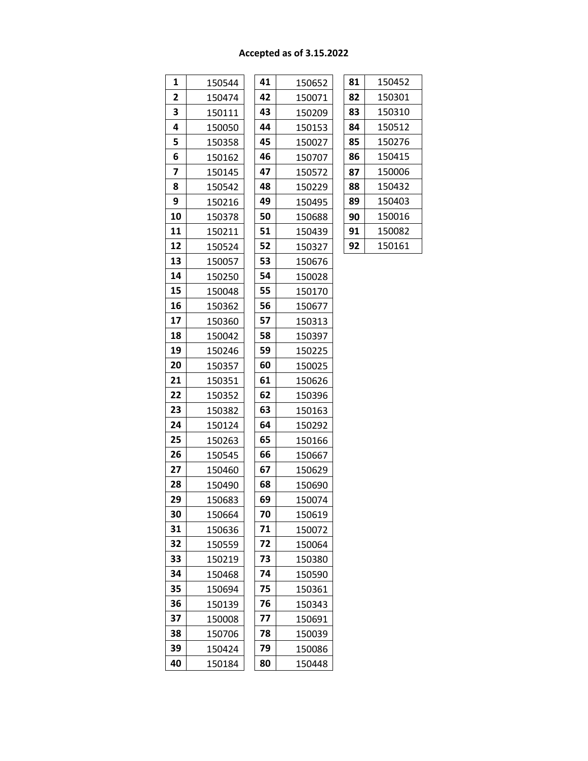# **Accepted as of 3.15.2022**

| 1                       | 150544 | 41 | 150652 | 81 | 150452 |
|-------------------------|--------|----|--------|----|--------|
| $\overline{\mathbf{2}}$ | 150474 | 42 | 150071 | 82 | 150301 |
| 3                       | 150111 | 43 | 150209 | 83 | 150310 |
| 4                       | 150050 | 44 | 150153 | 84 | 150512 |
| 5                       | 150358 | 45 | 150027 | 85 | 150276 |
| 6                       | 150162 | 46 | 150707 | 86 | 150415 |
| 7                       | 150145 | 47 | 150572 | 87 | 150006 |
| 8                       | 150542 | 48 | 150229 | 88 | 150432 |
| 9                       | 150216 | 49 | 150495 | 89 | 150403 |
| 10                      | 150378 | 50 | 150688 | 90 | 150016 |
| 11                      | 150211 | 51 | 150439 | 91 | 150082 |
| 12                      | 150524 | 52 | 150327 | 92 | 150161 |
| 13                      | 150057 | 53 | 150676 |    |        |
| 14                      | 150250 | 54 | 150028 |    |        |
| 15                      | 150048 | 55 | 150170 |    |        |
| 16                      | 150362 | 56 | 150677 |    |        |
| 17                      | 150360 | 57 | 150313 |    |        |
| 18                      | 150042 | 58 | 150397 |    |        |
| 19                      | 150246 | 59 | 150225 |    |        |
| 20                      | 150357 | 60 | 150025 |    |        |
| 21                      | 150351 | 61 | 150626 |    |        |
| 22                      | 150352 | 62 | 150396 |    |        |
| 23                      | 150382 | 63 | 150163 |    |        |
| 24                      | 150124 | 64 | 150292 |    |        |
| 25                      | 150263 | 65 | 150166 |    |        |
| 26                      | 150545 | 66 | 150667 |    |        |
| 27                      | 150460 | 67 | 150629 |    |        |
| 28                      | 150490 | 68 | 150690 |    |        |
| 29                      | 150683 | 69 | 150074 |    |        |
| 30                      | 150664 | 70 | 150619 |    |        |
| 31                      | 150636 | 71 | 150072 |    |        |
| 32                      | 150559 | 72 | 150064 |    |        |
| 33                      | 150219 | 73 | 150380 |    |        |
| 34                      | 150468 | 74 | 150590 |    |        |
| 35                      | 150694 | 75 | 150361 |    |        |
| 36                      | 150139 | 76 | 150343 |    |        |
| 37                      | 150008 | 77 | 150691 |    |        |
| 38                      | 150706 | 78 | 150039 |    |        |
| 39                      | 150424 | 79 | 150086 |    |        |
| 40                      | 150184 | 80 | 150448 |    |        |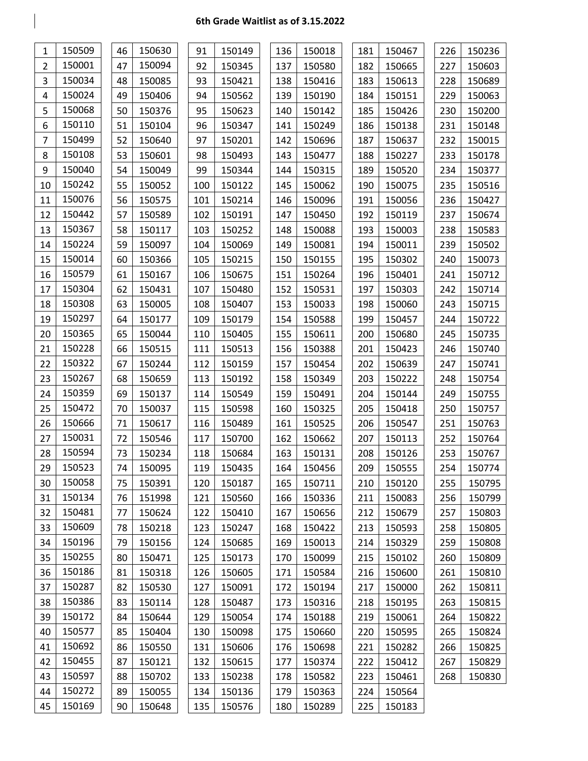| 1              | 150509 | 46 | 150630 | 91  | 150149 | 136 | 150018 | 181 | 150467 | 226 | 150236 |
|----------------|--------|----|--------|-----|--------|-----|--------|-----|--------|-----|--------|
| $\overline{2}$ | 150001 | 47 | 150094 | 92  | 150345 | 137 | 150580 | 182 | 150665 | 227 | 150603 |
| 3              | 150034 | 48 | 150085 | 93  | 150421 | 138 | 150416 | 183 | 150613 | 228 | 150689 |
| 4              | 150024 | 49 | 150406 | 94  | 150562 | 139 | 150190 | 184 | 150151 | 229 | 150063 |
| 5              | 150068 | 50 | 150376 | 95  | 150623 | 140 | 150142 | 185 | 150426 | 230 | 150200 |
| 6              | 150110 | 51 | 150104 | 96  | 150347 | 141 | 150249 | 186 | 150138 | 231 | 150148 |
| 7              | 150499 | 52 | 150640 | 97  | 150201 | 142 | 150696 | 187 | 150637 | 232 | 150015 |
| 8              | 150108 | 53 | 150601 | 98  | 150493 | 143 | 150477 | 188 | 150227 | 233 | 150178 |
| 9              | 150040 | 54 | 150049 | 99  | 150344 | 144 | 150315 | 189 | 150520 | 234 | 150377 |
| 10             | 150242 | 55 | 150052 | 100 | 150122 | 145 | 150062 | 190 | 150075 | 235 | 150516 |
| 11             | 150076 | 56 | 150575 | 101 | 150214 | 146 | 150096 | 191 | 150056 | 236 | 150427 |
| 12             | 150442 | 57 | 150589 | 102 | 150191 | 147 | 150450 | 192 | 150119 | 237 | 150674 |
| 13             | 150367 | 58 | 150117 | 103 | 150252 | 148 | 150088 | 193 | 150003 | 238 | 150583 |
| 14             | 150224 | 59 | 150097 | 104 | 150069 | 149 | 150081 | 194 | 150011 | 239 | 150502 |
| 15             | 150014 | 60 | 150366 | 105 | 150215 | 150 | 150155 | 195 | 150302 | 240 | 150073 |
| 16             | 150579 | 61 | 150167 | 106 | 150675 | 151 | 150264 | 196 | 150401 | 241 | 150712 |
| 17             | 150304 | 62 | 150431 | 107 | 150480 | 152 | 150531 | 197 | 150303 | 242 | 150714 |
| 18             | 150308 | 63 | 150005 | 108 | 150407 | 153 | 150033 | 198 | 150060 | 243 | 150715 |
| 19             | 150297 | 64 | 150177 | 109 | 150179 | 154 | 150588 | 199 | 150457 | 244 | 150722 |
| 20             | 150365 | 65 | 150044 | 110 | 150405 | 155 | 150611 | 200 | 150680 | 245 | 150735 |
| 21             | 150228 | 66 | 150515 | 111 | 150513 | 156 | 150388 | 201 | 150423 | 246 | 150740 |
| 22             | 150322 | 67 | 150244 | 112 | 150159 | 157 | 150454 | 202 | 150639 | 247 | 150741 |
| 23             | 150267 | 68 | 150659 | 113 | 150192 | 158 | 150349 | 203 | 150222 | 248 | 150754 |
| 24             | 150359 | 69 | 150137 | 114 | 150549 | 159 | 150491 | 204 | 150144 | 249 | 150755 |
| 25             | 150472 | 70 | 150037 | 115 | 150598 | 160 | 150325 | 205 | 150418 | 250 | 150757 |
| 26             | 150666 | 71 | 150617 | 116 | 150489 | 161 | 150525 | 206 | 150547 | 251 | 150763 |
| 27             | 150031 | 72 | 150546 | 117 | 150700 | 162 | 150662 | 207 | 150113 | 252 | 150764 |
| 28             | 150594 | 73 | 150234 | 118 | 150684 | 163 | 150131 | 208 | 150126 | 253 | 150767 |
| 29             | 150523 | 74 | 150095 | 119 | 150435 | 164 | 150456 | 209 | 150555 | 254 | 150774 |
| 30             | 150058 | 75 | 150391 | 120 | 150187 | 165 | 150711 | 210 | 150120 | 255 | 150795 |
| 31             | 150134 | 76 | 151998 | 121 | 150560 | 166 | 150336 | 211 | 150083 | 256 | 150799 |
| 32             | 150481 | 77 | 150624 | 122 | 150410 | 167 | 150656 | 212 | 150679 | 257 | 150803 |
| 33             | 150609 | 78 | 150218 | 123 | 150247 | 168 | 150422 | 213 | 150593 | 258 | 150805 |
| 34             | 150196 | 79 | 150156 | 124 | 150685 | 169 | 150013 | 214 | 150329 | 259 | 150808 |
| 35             | 150255 | 80 | 150471 | 125 | 150173 | 170 | 150099 | 215 | 150102 | 260 | 150809 |
| 36             | 150186 | 81 | 150318 | 126 | 150605 | 171 | 150584 | 216 | 150600 | 261 | 150810 |
| 37             | 150287 | 82 | 150530 | 127 | 150091 | 172 | 150194 | 217 | 150000 | 262 | 150811 |
| 38             | 150386 | 83 | 150114 | 128 | 150487 | 173 | 150316 | 218 | 150195 | 263 | 150815 |
| 39             | 150172 | 84 | 150644 | 129 | 150054 | 174 | 150188 | 219 | 150061 | 264 | 150822 |
| 40             | 150577 | 85 | 150404 | 130 | 150098 | 175 | 150660 | 220 | 150595 | 265 | 150824 |
| 41             | 150692 | 86 | 150550 | 131 | 150606 | 176 | 150698 | 221 | 150282 | 266 | 150825 |
| 42             | 150455 | 87 | 150121 | 132 | 150615 | 177 | 150374 | 222 | 150412 | 267 | 150829 |
| 43             | 150597 | 88 | 150702 | 133 | 150238 | 178 | 150582 | 223 | 150461 | 268 | 150830 |
| 44             | 150272 | 89 | 150055 | 134 | 150136 | 179 | 150363 | 224 | 150564 |     |        |
| 45             | 150169 | 90 | 150648 | 135 | 150576 | 180 | 150289 | 225 | 150183 |     |        |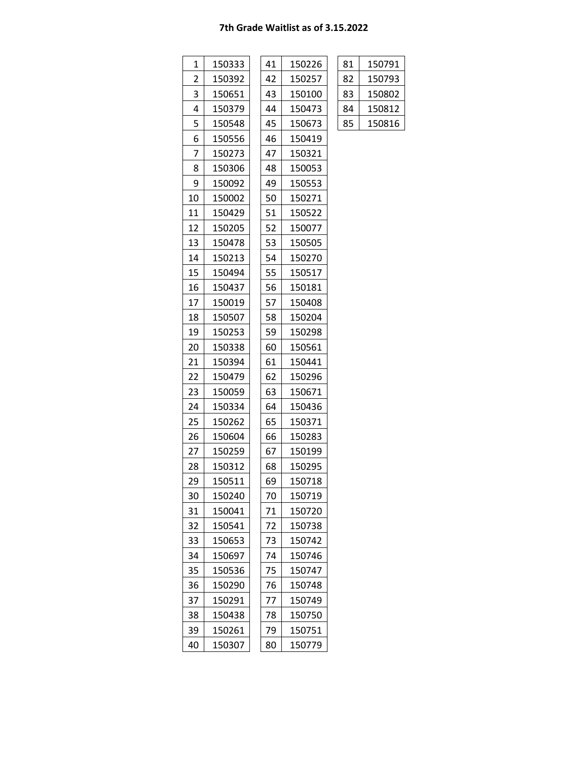| 1  | 150333 | 41 | 150226 | 81 | 150791 |
|----|--------|----|--------|----|--------|
| 2  | 150392 | 42 | 150257 | 82 | 150793 |
| 3  | 150651 | 43 | 150100 | 83 | 150802 |
| 4  | 150379 | 44 | 150473 | 84 | 150812 |
| 5  | 150548 | 45 | 150673 | 85 | 150816 |
| 6  | 150556 | 46 | 150419 |    |        |
| 7  | 150273 | 47 | 150321 |    |        |
| 8  | 150306 | 48 | 150053 |    |        |
| 9  | 150092 | 49 | 150553 |    |        |
| 10 | 150002 | 50 | 150271 |    |        |
| 11 | 150429 | 51 | 150522 |    |        |
| 12 | 150205 | 52 | 150077 |    |        |
| 13 | 150478 | 53 | 150505 |    |        |
| 14 | 150213 | 54 | 150270 |    |        |
| 15 | 150494 | 55 | 150517 |    |        |
| 16 | 150437 | 56 | 150181 |    |        |
| 17 | 150019 | 57 | 150408 |    |        |
| 18 | 150507 | 58 | 150204 |    |        |
| 19 | 150253 | 59 | 150298 |    |        |
| 20 | 150338 | 60 | 150561 |    |        |
| 21 | 150394 | 61 | 150441 |    |        |
| 22 | 150479 | 62 | 150296 |    |        |
| 23 | 150059 | 63 | 150671 |    |        |
| 24 | 150334 | 64 | 150436 |    |        |
| 25 | 150262 | 65 | 150371 |    |        |
| 26 | 150604 | 66 | 150283 |    |        |
| 27 | 150259 | 67 | 150199 |    |        |
| 28 | 150312 | 68 | 150295 |    |        |
| 29 | 150511 | 69 | 150718 |    |        |
| 30 | 150240 | 70 | 150719 |    |        |
| 31 | 150041 | 71 | 150720 |    |        |
| 32 | 150541 | 72 | 150738 |    |        |
| 33 | 150653 | 73 | 150742 |    |        |
| 34 | 150697 | 74 | 150746 |    |        |
| 35 | 150536 | 75 | 150747 |    |        |
| 36 | 150290 | 76 | 150748 |    |        |
| 37 | 150291 | 77 | 150749 |    |        |
| 38 | 150438 | 78 | 150750 |    |        |
| 39 | 150261 | 79 | 150751 |    |        |
| 40 | 150307 | 80 | 150779 |    |        |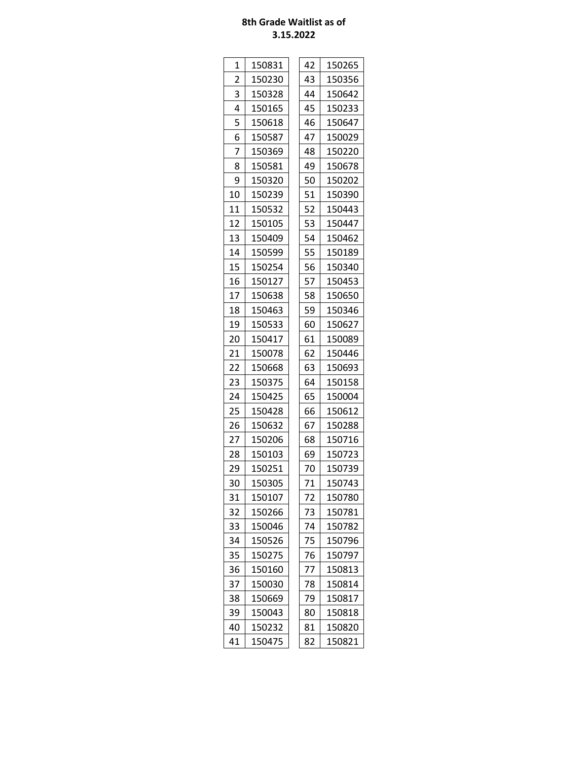| 1              | 150831 | 42 | 150265 |
|----------------|--------|----|--------|
| $\overline{2}$ | 150230 | 43 | 150356 |
| 3              | 150328 | 44 | 150642 |
| 4              | 150165 | 45 | 150233 |
| 5              | 150618 | 46 | 150647 |
| 6              | 150587 | 47 | 150029 |
| 7              | 150369 | 48 | 150220 |
| 8              | 150581 | 49 | 150678 |
| 9              | 150320 | 50 | 150202 |
| 10             | 150239 | 51 | 150390 |
| 11             | 150532 | 52 | 150443 |
| 12             | 150105 | 53 | 150447 |
| 13             | 150409 | 54 | 150462 |
| 14             | 150599 | 55 | 150189 |
| 15             | 150254 | 56 | 150340 |
| 16             | 150127 | 57 | 150453 |
| 17             | 150638 | 58 | 150650 |
| 18             | 150463 | 59 | 150346 |
| 19             | 150533 | 60 | 150627 |
| 20             | 150417 | 61 | 150089 |
| 21             | 150078 | 62 | 150446 |
| 22             | 150668 | 63 | 150693 |
| 23             | 150375 | 64 | 150158 |
| 24             | 150425 | 65 | 150004 |
| 25             | 150428 | 66 | 150612 |
| 26             | 150632 | 67 | 150288 |
| 27             | 150206 | 68 | 150716 |
| 28             | 150103 | 69 | 150723 |
| 29             | 150251 | 70 | 150739 |
| 30             | 150305 | 71 | 150743 |
| 31             | 150107 | 72 | 150780 |
| 32             | 150266 | 73 | 150781 |
| 33             | 150046 | 74 | 150782 |
| 34             | 150526 | 75 | 150796 |
| 35             | 150275 | 76 | 150797 |
| 36             | 150160 | 77 | 150813 |
| 37             | 150030 | 78 | 150814 |
| 38             | 150669 | 79 | 150817 |
| 39             | 150043 | 80 | 150818 |
| 40             | 150232 | 81 | 150820 |
| 41             | 150475 | 82 | 150821 |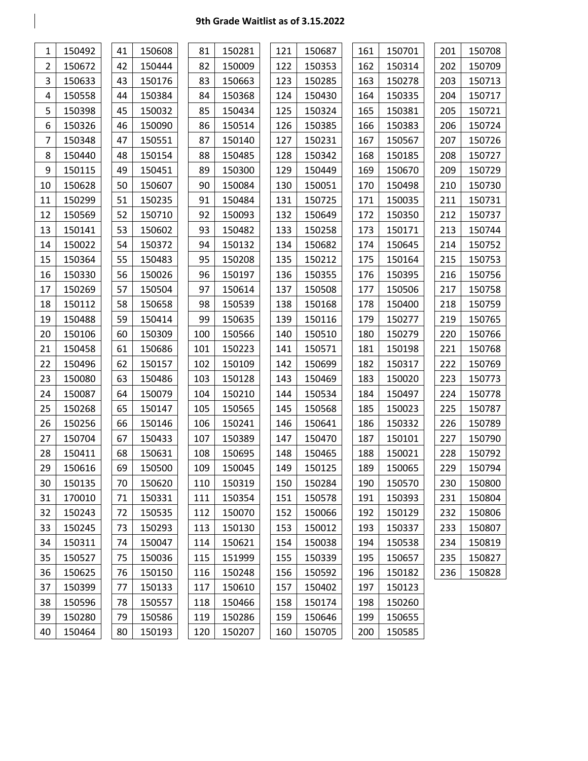Г

| 1              | 150492 | 41 | 150608 | 81  | 150281 | 121 | 150687 | 161 | 150701 | 201 | 150708 |
|----------------|--------|----|--------|-----|--------|-----|--------|-----|--------|-----|--------|
| $\overline{2}$ | 150672 | 42 | 150444 | 82  | 150009 | 122 | 150353 | 162 | 150314 | 202 | 150709 |
| 3              | 150633 | 43 | 150176 | 83  | 150663 | 123 | 150285 | 163 | 150278 | 203 | 150713 |
| 4              | 150558 | 44 | 150384 | 84  | 150368 | 124 | 150430 | 164 | 150335 | 204 | 150717 |
| 5              | 150398 | 45 | 150032 | 85  | 150434 | 125 | 150324 | 165 | 150381 | 205 | 150721 |
| 6              | 150326 | 46 | 150090 | 86  | 150514 | 126 | 150385 | 166 | 150383 | 206 | 150724 |
| 7              | 150348 | 47 | 150551 | 87  | 150140 | 127 | 150231 | 167 | 150567 | 207 | 150726 |
| 8              | 150440 | 48 | 150154 | 88  | 150485 | 128 | 150342 | 168 | 150185 | 208 | 150727 |
| 9              | 150115 | 49 | 150451 | 89  | 150300 | 129 | 150449 | 169 | 150670 | 209 | 150729 |
| 10             | 150628 | 50 | 150607 | 90  | 150084 | 130 | 150051 | 170 | 150498 | 210 | 150730 |
| 11             | 150299 | 51 | 150235 | 91  | 150484 | 131 | 150725 | 171 | 150035 | 211 | 150731 |
| 12             | 150569 | 52 | 150710 | 92  | 150093 | 132 | 150649 | 172 | 150350 | 212 | 150737 |
| 13             | 150141 | 53 | 150602 | 93  | 150482 | 133 | 150258 | 173 | 150171 | 213 | 150744 |
| 14             | 150022 | 54 | 150372 | 94  | 150132 | 134 | 150682 | 174 | 150645 | 214 | 150752 |
| 15             | 150364 | 55 | 150483 | 95  | 150208 | 135 | 150212 | 175 | 150164 | 215 | 150753 |
| 16             | 150330 | 56 | 150026 | 96  | 150197 | 136 | 150355 | 176 | 150395 | 216 | 150756 |
| 17             | 150269 | 57 | 150504 | 97  | 150614 | 137 | 150508 | 177 | 150506 | 217 | 150758 |
| 18             | 150112 | 58 | 150658 | 98  | 150539 | 138 | 150168 | 178 | 150400 | 218 | 150759 |
| 19             | 150488 | 59 | 150414 | 99  | 150635 | 139 | 150116 | 179 | 150277 | 219 | 150765 |
| 20             | 150106 | 60 | 150309 | 100 | 150566 | 140 | 150510 | 180 | 150279 | 220 | 150766 |
| 21             | 150458 | 61 | 150686 | 101 | 150223 | 141 | 150571 | 181 | 150198 | 221 | 150768 |
| 22             | 150496 | 62 | 150157 | 102 | 150109 | 142 | 150699 | 182 | 150317 | 222 | 150769 |
| 23             | 150080 | 63 | 150486 | 103 | 150128 | 143 | 150469 | 183 | 150020 | 223 | 150773 |
| 24             | 150087 | 64 | 150079 | 104 | 150210 | 144 | 150534 | 184 | 150497 | 224 | 150778 |
| 25             | 150268 | 65 | 150147 | 105 | 150565 | 145 | 150568 | 185 | 150023 | 225 | 150787 |
| 26             | 150256 | 66 | 150146 | 106 | 150241 | 146 | 150641 | 186 | 150332 | 226 | 150789 |
| 27             | 150704 | 67 | 150433 | 107 | 150389 | 147 | 150470 | 187 | 150101 | 227 | 150790 |
| 28             | 150411 | 68 | 150631 | 108 | 150695 | 148 | 150465 | 188 | 150021 | 228 | 150792 |
| 29             | 150616 | 69 | 150500 | 109 | 150045 | 149 | 150125 | 189 | 150065 | 229 | 150794 |
| 30             | 150135 | 70 | 150620 | 110 | 150319 | 150 | 150284 | 190 | 150570 | 230 | 150800 |
| 31             | 170010 | 71 | 150331 | 111 | 150354 | 151 | 150578 | 191 | 150393 | 231 | 150804 |
| 32             | 150243 | 72 | 150535 | 112 | 150070 | 152 | 150066 | 192 | 150129 | 232 | 150806 |
| 33             | 150245 | 73 | 150293 | 113 | 150130 | 153 | 150012 | 193 | 150337 | 233 | 150807 |
| 34             | 150311 | 74 | 150047 | 114 | 150621 | 154 | 150038 | 194 | 150538 | 234 | 150819 |
| 35             | 150527 | 75 | 150036 | 115 | 151999 | 155 | 150339 | 195 | 150657 | 235 | 150827 |
| 36             | 150625 | 76 | 150150 | 116 | 150248 | 156 | 150592 | 196 | 150182 | 236 | 150828 |
| 37             | 150399 | 77 | 150133 | 117 | 150610 | 157 | 150402 | 197 | 150123 |     |        |
| 38             | 150596 | 78 | 150557 | 118 | 150466 | 158 | 150174 | 198 | 150260 |     |        |
| 39             | 150280 | 79 | 150586 | 119 | 150286 | 159 | 150646 | 199 | 150655 |     |        |
| 40             | 150464 | 80 | 150193 | 120 | 150207 | 160 | 150705 | 200 | 150585 |     |        |